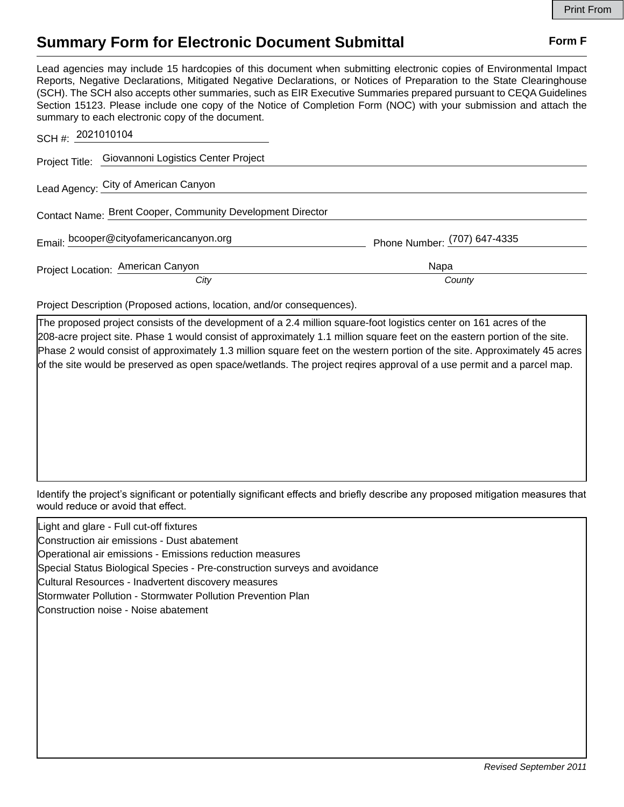## **Summary Form for Electronic Document Submittal Form F Form F**

Lead agencies may include 15 hardcopies of this document when submitting electronic copies of Environmental Impact Reports, Negative Declarations, Mitigated Negative Declarations, or Notices of Preparation to the State Clearinghouse (SCH). The SCH also accepts other summaries, such as EIR Executive Summaries prepared pursuant to CEQA Guidelines Section 15123. Please include one copy of the Notice of Completion Form (NOC) with your submission and attach the summary to each electronic copy of the document.

| SCH #: 2021010104                                          |      |                              |  |
|------------------------------------------------------------|------|------------------------------|--|
| Project Title: Giovannoni Logistics Center Project         |      |                              |  |
| Lead Agency: City of American Canyon                       |      |                              |  |
| Contact Name: Brent Cooper, Community Development Director |      |                              |  |
| Email: bcooper@cityofamericancanyon.org                    |      | Phone Number: (707) 647-4335 |  |
| Project Location: American Canyon                          |      | Napa                         |  |
|                                                            | City | County                       |  |

Project Description (Proposed actions, location, and/or consequences).

The proposed project consists of the development of a 2.4 million square-foot logistics center on 161 acres of the 208-acre project site. Phase 1 would consist of approximately 1.1 million square feet on the eastern portion of the site. Phase 2 would consist of approximately 1.3 million square feet on the western portion of the site. Approximately 45 acres of the site would be preserved as open space/wetlands. The project reqires approval of a use permit and a parcel map.

Identify the project's significant or potentially significant effects and briefly describe any proposed mitigation measures that would reduce or avoid that effect.

Light and glare - Full cut-off fixtures

Construction air emissions - Dust abatement

Operational air emissions - Emissions reduction measures

Special Status Biological Species - Pre-construction surveys and avoidance

Cultural Resources - Inadvertent discovery measures

Stormwater Pollution - Stormwater Pollution Prevention Plan

Construction noise - Noise abatement